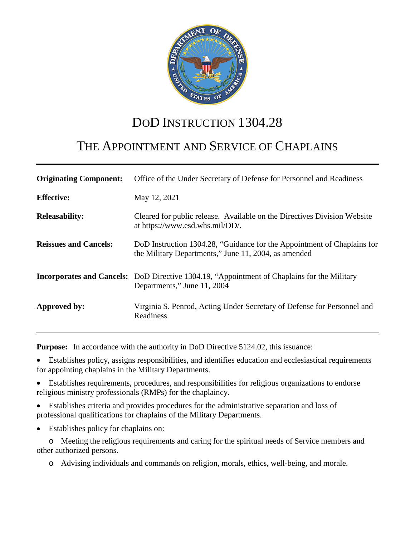

# DOD INSTRUCTION 1304.28

# THE APPOINTMENT AND SERVICE OF CHAPLAINS

| <b>Originating Component:</b> | Office of the Under Secretary of Defense for Personnel and Readiness                                                              |
|-------------------------------|-----------------------------------------------------------------------------------------------------------------------------------|
| <b>Effective:</b>             | May 12, 2021                                                                                                                      |
| <b>Releasability:</b>         | Cleared for public release. Available on the Directives Division Website<br>at https://www.esd.whs.mil/DD/.                       |
| <b>Reissues and Cancels:</b>  | DoD Instruction 1304.28, "Guidance for the Appointment of Chaplains for<br>the Military Departments," June 11, 2004, as amended   |
|                               | <b>Incorporates and Cancels:</b> DoD Directive 1304.19, "Appointment of Chaplains for the Military<br>Departments," June 11, 2004 |
| Approved by:                  | Virginia S. Penrod, Acting Under Secretary of Defense for Personnel and<br>Readiness                                              |

**Purpose:** In accordance with the authority in DoD Directive 5124.02, this issuance:

• Establishes policy, assigns responsibilities, and identifies education and ecclesiastical requirements for appointing chaplains in the Military Departments.

• Establishes requirements, procedures, and responsibilities for religious organizations to endorse religious ministry professionals (RMPs) for the chaplaincy.

• Establishes criteria and provides procedures for the administrative separation and loss of professional qualifications for chaplains of the Military Departments.

Establishes policy for chaplains on:

o Meeting the religious requirements and caring for the spiritual needs of Service members and other authorized persons.

o Advising individuals and commands on religion, morals, ethics, well-being, and morale.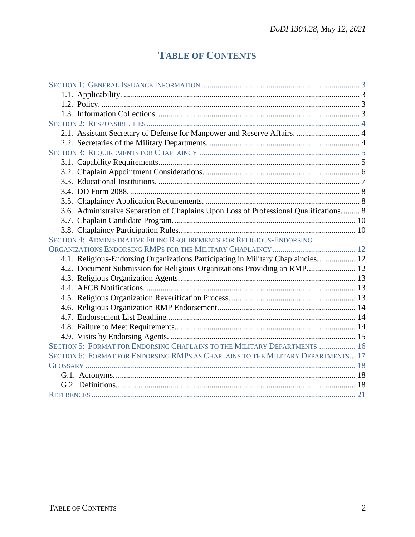# **TABLE OF CONTENTS**

| 2.1. Assistant Secretary of Defense for Manpower and Reserve Affairs.  4              |  |
|---------------------------------------------------------------------------------------|--|
|                                                                                       |  |
|                                                                                       |  |
|                                                                                       |  |
|                                                                                       |  |
|                                                                                       |  |
|                                                                                       |  |
|                                                                                       |  |
| 3.6. Administraive Separation of Chaplains Upon Loss of Professional Qualifications 8 |  |
|                                                                                       |  |
|                                                                                       |  |
| SECTION 4: ADMINISTRATIVE FILING REQUIREMENTS FOR RELIGIOUS-ENDORSING                 |  |
|                                                                                       |  |
| 4.1. Religious-Endorsing Organizations Participating in Military Chaplaincies 12      |  |
| 4.2. Document Submission for Religious Organizations Providing an RMP 12              |  |
|                                                                                       |  |
|                                                                                       |  |
|                                                                                       |  |
|                                                                                       |  |
|                                                                                       |  |
|                                                                                       |  |
|                                                                                       |  |
| SECTION 5: FORMAT FOR ENDORSING CHAPLAINS TO THE MILITARY DEPARTMENTS  16             |  |
| SECTION 6: FORMAT FOR ENDORSING RMPS AS CHAPLAINS TO THE MILITARY DEPARTMENTS 17      |  |
|                                                                                       |  |
|                                                                                       |  |
|                                                                                       |  |
|                                                                                       |  |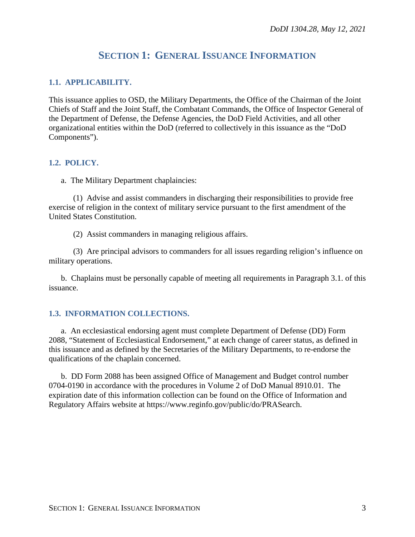## **SECTION 1: GENERAL ISSUANCE INFORMATION**

### <span id="page-2-1"></span><span id="page-2-0"></span>**1.1. APPLICABILITY.**

This issuance applies to OSD, the Military Departments, the Office of the Chairman of the Joint Chiefs of Staff and the Joint Staff, the Combatant Commands, the Office of Inspector General of the Department of Defense, the Defense Agencies, the DoD Field Activities, and all other organizational entities within the DoD (referred to collectively in this issuance as the "DoD Components").

### <span id="page-2-2"></span>**1.2. POLICY.**

a. The Military Department chaplaincies:

(1) Advise and assist commanders in discharging their responsibilities to provide free exercise of religion in the context of military service pursuant to the first amendment of the United States Constitution.

(2) Assist commanders in managing religious affairs.

(3) Are principal advisors to commanders for all issues regarding religion's influence on military operations.

b. Chaplains must be personally capable of meeting all requirements in Paragraph 3.1. of this issuance.

### <span id="page-2-3"></span>**1.3. INFORMATION COLLECTIONS.**

a. An ecclesiastical endorsing agent must complete Department of Defense (DD) Form 2088, "Statement of Ecclesiastical Endorsement," at each change of career status, as defined in this issuance and as defined by the Secretaries of the Military Departments, to re-endorse the qualifications of the chaplain concerned.

b. DD Form 2088 has been assigned Office of Management and Budget control number 0704-0190 in accordance with the procedures in Volume 2 of DoD Manual 8910.01. The expiration date of this information collection can be found on the Office of Information and Regulatory Affairs website at https://www.reginfo.gov/public/do/PRASearch.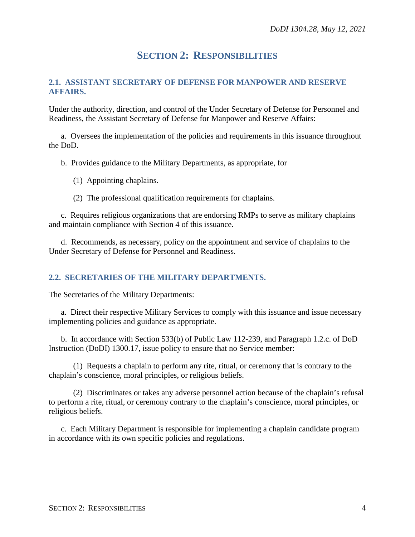## **SECTION 2: RESPONSIBILITIES**

### <span id="page-3-1"></span><span id="page-3-0"></span>**2.1. ASSISTANT SECRETARY OF DEFENSE FOR MANPOWER AND RESERVE AFFAIRS.**

Under the authority, direction, and control of the Under Secretary of Defense for Personnel and Readiness, the Assistant Secretary of Defense for Manpower and Reserve Affairs:

a. Oversees the implementation of the policies and requirements in this issuance throughout the DoD.

b. Provides guidance to the Military Departments, as appropriate, for

- (1) Appointing chaplains.
- (2) The professional qualification requirements for chaplains.

c. Requires religious organizations that are endorsing RMPs to serve as military chaplains and maintain compliance with Section 4 of this issuance.

d. Recommends, as necessary, policy on the appointment and service of chaplains to the Under Secretary of Defense for Personnel and Readiness.

### <span id="page-3-2"></span>**2.2. SECRETARIES OF THE MILITARY DEPARTMENTS.**

The Secretaries of the Military Departments:

a. Direct their respective Military Services to comply with this issuance and issue necessary implementing policies and guidance as appropriate.

b. In accordance with Section 533(b) of Public Law 112-239, and Paragraph 1.2.c. of DoD Instruction (DoDI) 1300.17, issue policy to ensure that no Service member:

(1) Requests a chaplain to perform any rite, ritual, or ceremony that is contrary to the chaplain's conscience, moral principles, or religious beliefs.

(2) Discriminates or takes any adverse personnel action because of the chaplain's refusal to perform a rite, ritual, or ceremony contrary to the chaplain's conscience, moral principles, or religious beliefs.

c. Each Military Department is responsible for implementing a chaplain candidate program in accordance with its own specific policies and regulations.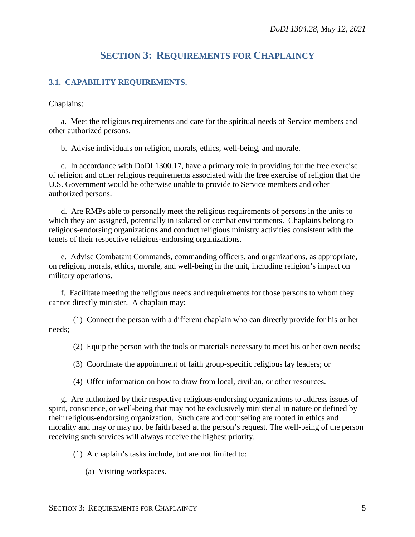## **SECTION 3: REQUIREMENTS FOR CHAPLAINCY**

### <span id="page-4-1"></span><span id="page-4-0"></span>**3.1. CAPABILITY REQUIREMENTS.**

Chaplains:

a. Meet the religious requirements and care for the spiritual needs of Service members and other authorized persons.

b. Advise individuals on religion, morals, ethics, well-being, and morale.

c. In accordance with DoDI 1300.17, have a primary role in providing for the free exercise of religion and other religious requirements associated with the free exercise of religion that the U.S. Government would be otherwise unable to provide to Service members and other authorized persons.

d. Are RMPs able to personally meet the religious requirements of persons in the units to which they are assigned, potentially in isolated or combat environments. Chaplains belong to religious-endorsing organizations and conduct religious ministry activities consistent with the tenets of their respective religious-endorsing organizations.

e. Advise Combatant Commands, commanding officers, and organizations, as appropriate, on religion, morals, ethics, morale, and well-being in the unit, including religion's impact on military operations.

f. Facilitate meeting the religious needs and requirements for those persons to whom they cannot directly minister. A chaplain may:

(1) Connect the person with a different chaplain who can directly provide for his or her needs;

(2) Equip the person with the tools or materials necessary to meet his or her own needs;

(3) Coordinate the appointment of faith group-specific religious lay leaders; or

(4) Offer information on how to draw from local, civilian, or other resources.

g. Are authorized by their respective religious-endorsing organizations to address issues of spirit, conscience, or well-being that may not be exclusively ministerial in nature or defined by their religious-endorsing organization. Such care and counseling are rooted in ethics and morality and may or may not be faith based at the person's request. The well-being of the person receiving such services will always receive the highest priority.

(1) A chaplain's tasks include, but are not limited to:

(a) Visiting workspaces.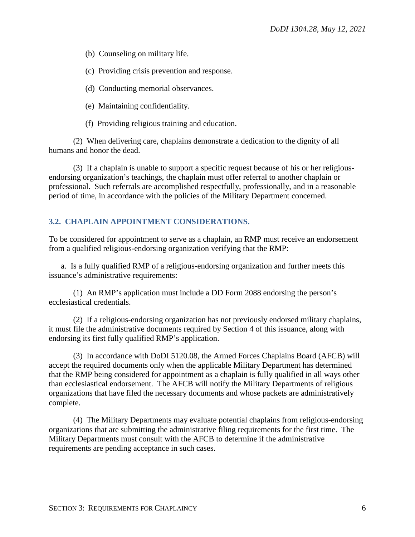(b) Counseling on military life.

(c) Providing crisis prevention and response.

- (d) Conducting memorial observances.
- (e) Maintaining confidentiality.
- (f) Providing religious training and education.

(2) When delivering care, chaplains demonstrate a dedication to the dignity of all humans and honor the dead.

(3) If a chaplain is unable to support a specific request because of his or her religiousendorsing organization's teachings, the chaplain must offer referral to another chaplain or professional. Such referrals are accomplished respectfully, professionally, and in a reasonable period of time, in accordance with the policies of the Military Department concerned.

### <span id="page-5-0"></span>**3.2. CHAPLAIN APPOINTMENT CONSIDERATIONS.**

To be considered for appointment to serve as a chaplain, an RMP must receive an endorsement from a qualified religious-endorsing organization verifying that the RMP:

a. Is a fully qualified RMP of a religious-endorsing organization and further meets this issuance's administrative requirements:

(1) An RMP's application must include a DD Form 2088 endorsing the person's ecclesiastical credentials.

(2) If a religious-endorsing organization has not previously endorsed military chaplains, it must file the administrative documents required by Section 4 of this issuance, along with endorsing its first fully qualified RMP's application.

(3) In accordance with DoDI 5120.08, the Armed Forces Chaplains Board (AFCB) will accept the required documents only when the applicable Military Department has determined that the RMP being considered for appointment as a chaplain is fully qualified in all ways other than ecclesiastical endorsement. The AFCB will notify the Military Departments of religious organizations that have filed the necessary documents and whose packets are administratively complete.

(4) The Military Departments may evaluate potential chaplains from religious-endorsing organizations that are submitting the administrative filing requirements for the first time. The Military Departments must consult with the AFCB to determine if the administrative requirements are pending acceptance in such cases.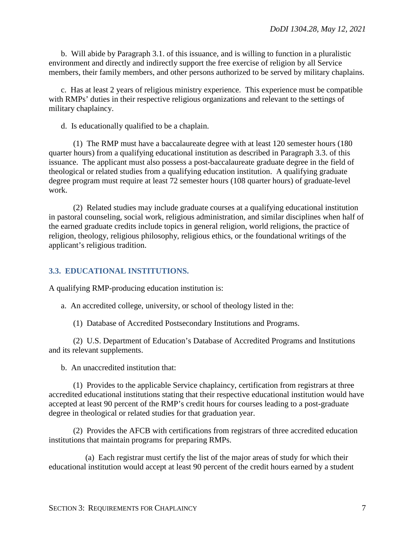b. Will abide by Paragraph 3.1. of this issuance, and is willing to function in a pluralistic environment and directly and indirectly support the free exercise of religion by all Service members, their family members, and other persons authorized to be served by military chaplains.

c. Has at least 2 years of religious ministry experience. This experience must be compatible with RMPs' duties in their respective religious organizations and relevant to the settings of military chaplaincy.

d. Is educationally qualified to be a chaplain.

(1) The RMP must have a baccalaureate degree with at least 120 semester hours (180 quarter hours) from a qualifying educational institution as described in Paragraph 3.3. of this issuance. The applicant must also possess a post-baccalaureate graduate degree in the field of theological or related studies from a qualifying education institution. A qualifying graduate degree program must require at least 72 semester hours (108 quarter hours) of graduate-level work.

(2) Related studies may include graduate courses at a qualifying educational institution in pastoral counseling, social work, religious administration, and similar disciplines when half of the earned graduate credits include topics in general religion, world religions, the practice of religion, theology, religious philosophy, religious ethics, or the foundational writings of the applicant's religious tradition.

### <span id="page-6-0"></span>**3.3. EDUCATIONAL INSTITUTIONS.**

A qualifying RMP-producing education institution is:

a. An accredited college, university, or school of theology listed in the:

(1) Database of Accredited Postsecondary Institutions and Programs.

(2) U.S. Department of Education's Database of Accredited Programs and Institutions and its relevant supplements.

b. An unaccredited institution that:

(1) Provides to the applicable Service chaplaincy, certification from registrars at three accredited educational institutions stating that their respective educational institution would have accepted at least 90 percent of the RMP's credit hours for courses leading to a post-graduate degree in theological or related studies for that graduation year.

(2) Provides the AFCB with certifications from registrars of three accredited education institutions that maintain programs for preparing RMPs.

(a) Each registrar must certify the list of the major areas of study for which their educational institution would accept at least 90 percent of the credit hours earned by a student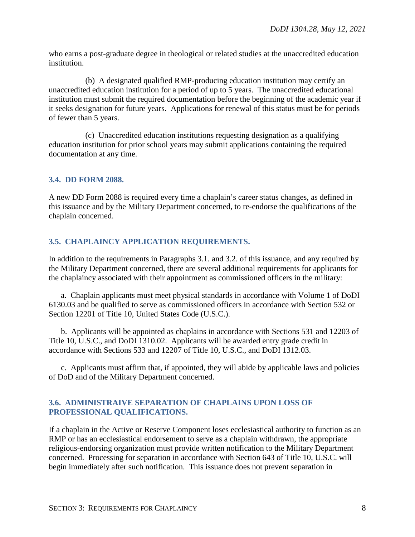who earns a post-graduate degree in theological or related studies at the unaccredited education institution.

(b) A designated qualified RMP-producing education institution may certify an unaccredited education institution for a period of up to 5 years. The unaccredited educational institution must submit the required documentation before the beginning of the academic year if it seeks designation for future years. Applications for renewal of this status must be for periods of fewer than 5 years.

(c) Unaccredited education institutions requesting designation as a qualifying education institution for prior school years may submit applications containing the required documentation at any time.

### <span id="page-7-0"></span>**3.4. DD FORM 2088.**

A new DD Form 2088 is required every time a chaplain's career status changes, as defined in this issuance and by the Military Department concerned, to re-endorse the qualifications of the chaplain concerned.

### <span id="page-7-1"></span>**3.5. CHAPLAINCY APPLICATION REQUIREMENTS.**

In addition to the requirements in Paragraphs 3.1. and 3.2. of this issuance, and any required by the Military Department concerned, there are several additional requirements for applicants for the chaplaincy associated with their appointment as commissioned officers in the military:

a. Chaplain applicants must meet physical standards in accordance with Volume 1 of DoDI 6130.03 and be qualified to serve as commissioned officers in accordance with Section 532 or Section 12201 of Title 10, United States Code (U.S.C.).

b. Applicants will be appointed as chaplains in accordance with Sections 531 and 12203 of Title 10, U.S.C., and DoDI 1310.02. Applicants will be awarded entry grade credit in accordance with Sections 533 and 12207 of Title 10, U.S.C., and DoDI 1312.03.

c. Applicants must affirm that, if appointed, they will abide by applicable laws and policies of DoD and of the Military Department concerned.

### <span id="page-7-2"></span>**3.6. ADMINISTRAIVE SEPARATION OF CHAPLAINS UPON LOSS OF PROFESSIONAL QUALIFICATIONS.**

If a chaplain in the Active or Reserve Component loses ecclesiastical authority to function as an RMP or has an ecclesiastical endorsement to serve as a chaplain withdrawn, the appropriate religious-endorsing organization must provide written notification to the Military Department concerned. Processing for separation in accordance with Section 643 of Title 10, U.S.C. will begin immediately after such notification. This issuance does not prevent separation in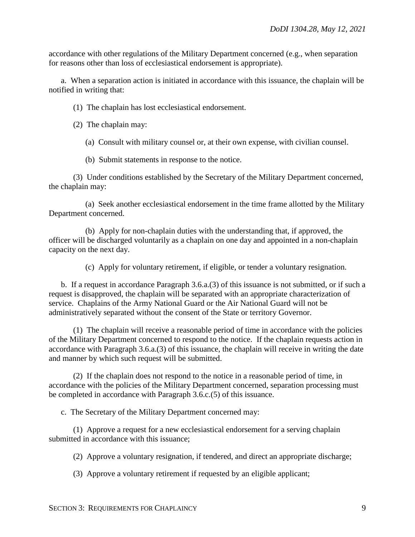accordance with other regulations of the Military Department concerned (e.g., when separation for reasons other than loss of ecclesiastical endorsement is appropriate).

a. When a separation action is initiated in accordance with this issuance, the chaplain will be notified in writing that:

(1) The chaplain has lost ecclesiastical endorsement.

(2) The chaplain may:

(a) Consult with military counsel or, at their own expense, with civilian counsel.

(b) Submit statements in response to the notice.

(3) Under conditions established by the Secretary of the Military Department concerned, the chaplain may:

(a) Seek another ecclesiastical endorsement in the time frame allotted by the Military Department concerned.

(b) Apply for non-chaplain duties with the understanding that, if approved, the officer will be discharged voluntarily as a chaplain on one day and appointed in a non-chaplain capacity on the next day.

(c) Apply for voluntary retirement, if eligible, or tender a voluntary resignation.

b. If a request in accordance Paragraph 3.6.a.(3) of this issuance is not submitted, or if such a request is disapproved, the chaplain will be separated with an appropriate characterization of service. Chaplains of the Army National Guard or the Air National Guard will not be administratively separated without the consent of the State or territory Governor.

(1) The chaplain will receive a reasonable period of time in accordance with the policies of the Military Department concerned to respond to the notice. If the chaplain requests action in accordance with Paragraph 3.6.a.(3) of this issuance, the chaplain will receive in writing the date and manner by which such request will be submitted.

(2) If the chaplain does not respond to the notice in a reasonable period of time, in accordance with the policies of the Military Department concerned, separation processing must be completed in accordance with Paragraph 3.6.c.(5) of this issuance.

c. The Secretary of the Military Department concerned may:

(1) Approve a request for a new ecclesiastical endorsement for a serving chaplain submitted in accordance with this issuance;

(2) Approve a voluntary resignation, if tendered, and direct an appropriate discharge;

(3) Approve a voluntary retirement if requested by an eligible applicant;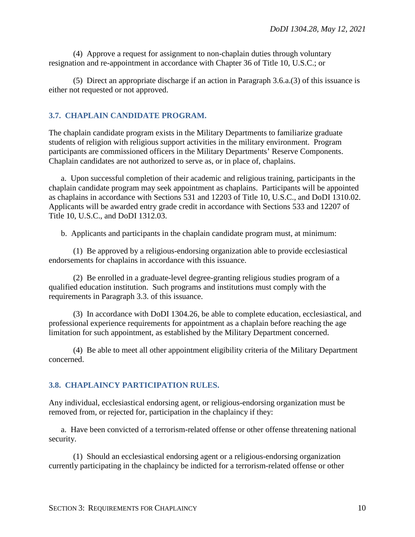(4) Approve a request for assignment to non-chaplain duties through voluntary resignation and re-appointment in accordance with Chapter 36 of Title 10, U.S.C.; or

(5) Direct an appropriate discharge if an action in Paragraph 3.6.a.(3) of this issuance is either not requested or not approved.

### <span id="page-9-0"></span>**3.7. CHAPLAIN CANDIDATE PROGRAM.**

The chaplain candidate program exists in the Military Departments to familiarize graduate students of religion with religious support activities in the military environment. Program participants are commissioned officers in the Military Departments' Reserve Components. Chaplain candidates are not authorized to serve as, or in place of, chaplains.

a. Upon successful completion of their academic and religious training, participants in the chaplain candidate program may seek appointment as chaplains. Participants will be appointed as chaplains in accordance with Sections 531 and 12203 of Title 10, U.S.C., and DoDI 1310.02. Applicants will be awarded entry grade credit in accordance with Sections 533 and 12207 of Title 10, U.S.C., and DoDI 1312.03.

b. Applicants and participants in the chaplain candidate program must, at minimum:

(1) Be approved by a religious-endorsing organization able to provide ecclesiastical endorsements for chaplains in accordance with this issuance.

(2) Be enrolled in a graduate-level degree-granting religious studies program of a qualified education institution. Such programs and institutions must comply with the requirements in Paragraph 3.3. of this issuance.

(3) In accordance with DoDI 1304.26, be able to complete education, ecclesiastical, and professional experience requirements for appointment as a chaplain before reaching the age limitation for such appointment, as established by the Military Department concerned.

(4) Be able to meet all other appointment eligibility criteria of the Military Department concerned.

### <span id="page-9-1"></span>**3.8. CHAPLAINCY PARTICIPATION RULES.**

Any individual, ecclesiastical endorsing agent, or religious-endorsing organization must be removed from, or rejected for, participation in the chaplaincy if they:

a. Have been convicted of a terrorism-related offense or other offense threatening national security.

(1) Should an ecclesiastical endorsing agent or a religious-endorsing organization currently participating in the chaplaincy be indicted for a terrorism-related offense or other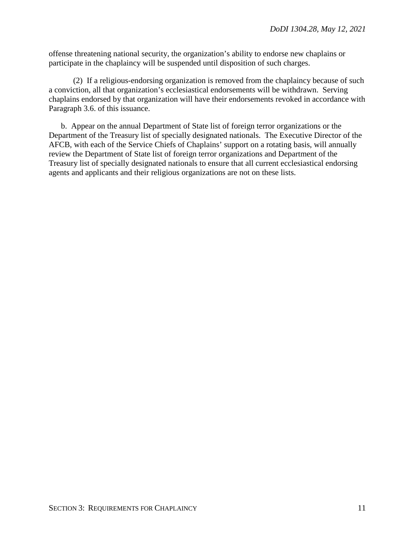offense threatening national security, the organization's ability to endorse new chaplains or participate in the chaplaincy will be suspended until disposition of such charges.

(2) If a religious-endorsing organization is removed from the chaplaincy because of such a conviction, all that organization's ecclesiastical endorsements will be withdrawn. Serving chaplains endorsed by that organization will have their endorsements revoked in accordance with Paragraph 3.6. of this issuance.

b. Appear on the annual Department of State list of foreign terror organizations or the Department of the Treasury list of specially designated nationals. The Executive Director of the AFCB, with each of the Service Chiefs of Chaplains' support on a rotating basis, will annually review the Department of State list of foreign terror organizations and Department of the Treasury list of specially designated nationals to ensure that all current ecclesiastical endorsing agents and applicants and their religious organizations are not on these lists.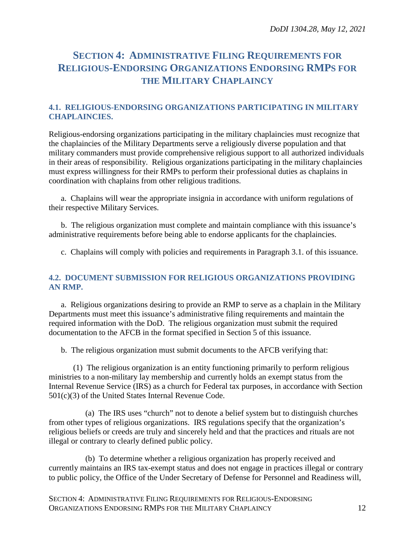# <span id="page-11-0"></span>**SECTION 4: ADMINISTRATIVE FILING REQUIREMENTS FOR RELIGIOUS-ENDORSING ORGANIZATIONS ENDORSING RMPS FOR THE MILITARY CHAPLAINCY**

### <span id="page-11-1"></span>**4.1. RELIGIOUS-ENDORSING ORGANIZATIONS PARTICIPATING IN MILITARY CHAPLAINCIES.**

Religious-endorsing organizations participating in the military chaplaincies must recognize that the chaplaincies of the Military Departments serve a religiously diverse population and that military commanders must provide comprehensive religious support to all authorized individuals in their areas of responsibility. Religious organizations participating in the military chaplaincies must express willingness for their RMPs to perform their professional duties as chaplains in coordination with chaplains from other religious traditions.

a. Chaplains will wear the appropriate insignia in accordance with uniform regulations of their respective Military Services.

b. The religious organization must complete and maintain compliance with this issuance's administrative requirements before being able to endorse applicants for the chaplaincies.

c. Chaplains will comply with policies and requirements in Paragraph 3.1. of this issuance.

### <span id="page-11-2"></span>**4.2. DOCUMENT SUBMISSION FOR RELIGIOUS ORGANIZATIONS PROVIDING AN RMP.**

a. Religious organizations desiring to provide an RMP to serve as a chaplain in the Military Departments must meet this issuance's administrative filing requirements and maintain the required information with the DoD. The religious organization must submit the required documentation to the AFCB in the format specified in Section 5 of this issuance.

b. The religious organization must submit documents to the AFCB verifying that:

(1) The religious organization is an entity functioning primarily to perform religious ministries to a non-military lay membership and currently holds an exempt status from the Internal Revenue Service (IRS) as a church for Federal tax purposes, in accordance with Section 501(c)(3) of the United States Internal Revenue Code.

(a) The IRS uses "church" not to denote a belief system but to distinguish churches from other types of religious organizations. IRS regulations specify that the organization's religious beliefs or creeds are truly and sincerely held and that the practices and rituals are not illegal or contrary to clearly defined public policy.

(b) To determine whether a religious organization has properly received and currently maintains an IRS tax-exempt status and does not engage in practices illegal or contrary to public policy, the Office of the Under Secretary of Defense for Personnel and Readiness will,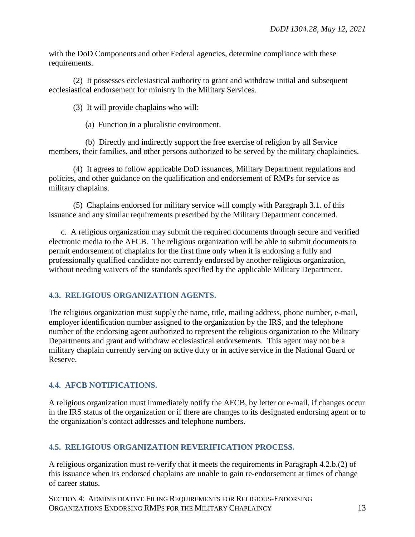with the DoD Components and other Federal agencies, determine compliance with these requirements.

(2) It possesses ecclesiastical authority to grant and withdraw initial and subsequent ecclesiastical endorsement for ministry in the Military Services.

(3) It will provide chaplains who will:

(a) Function in a pluralistic environment.

(b) Directly and indirectly support the free exercise of religion by all Service members, their families, and other persons authorized to be served by the military chaplaincies.

(4) It agrees to follow applicable DoD issuances, Military Department regulations and policies, and other guidance on the qualification and endorsement of RMPs for service as military chaplains.

(5) Chaplains endorsed for military service will comply with Paragraph 3.1. of this issuance and any similar requirements prescribed by the Military Department concerned.

c. A religious organization may submit the required documents through secure and verified electronic media to the AFCB. The religious organization will be able to submit documents to permit endorsement of chaplains for the first time only when it is endorsing a fully and professionally qualified candidate not currently endorsed by another religious organization, without needing waivers of the standards specified by the applicable Military Department.

### <span id="page-12-0"></span>**4.3. RELIGIOUS ORGANIZATION AGENTS.**

The religious organization must supply the name, title, mailing address, phone number, e-mail, employer identification number assigned to the organization by the IRS, and the telephone number of the endorsing agent authorized to represent the religious organization to the Military Departments and grant and withdraw ecclesiastical endorsements. This agent may not be a military chaplain currently serving on active duty or in active service in the National Guard or Reserve.

### <span id="page-12-1"></span>**4.4. AFCB NOTIFICATIONS.**

A religious organization must immediately notify the AFCB, by letter or e-mail, if changes occur in the IRS status of the organization or if there are changes to its designated endorsing agent or to the organization's contact addresses and telephone numbers.

### <span id="page-12-2"></span>**4.5. RELIGIOUS ORGANIZATION REVERIFICATION PROCESS.**

A religious organization must re-verify that it meets the requirements in Paragraph 4.2.b.(2) of this issuance when its endorsed chaplains are unable to gain re-endorsement at times of change of career status.

SECTION 4: ADMINISTRATIVE FILING REQUIREMENTS FOR RELIGIOUS-ENDORSING ORGANIZATIONS ENDORSING RMPS FOR THE MILITARY CHAPLAINCY 13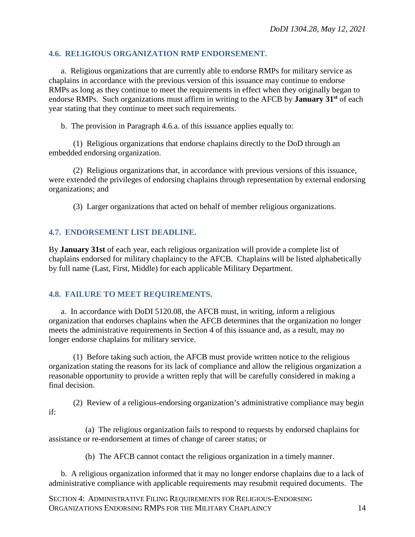### <span id="page-13-0"></span>**4.6. RELIGIOUS ORGANIZATION RMP ENDORSEMENT.**

a. Religious organizations that are currently able to endorse RMPs for military service as chaplains in accordance with the previous version of this issuance may continue to endorse RMPs as long as they continue to meet the requirements in effect when they originally began to endorse RMPs. Such organizations must affirm in writing to the AFCB by **January 31st** of each year stating that they continue to meet such requirements.

b. The provision in Paragraph 4.6.a. of this issuance applies equally to:

(1) Religious organizations that endorse chaplains directly to the DoD through an embedded endorsing organization.

(2) Religious organizations that, in accordance with previous versions of this issuance, were extended the privileges of endorsing chaplains through representation by external endorsing organizations; and

(3) Larger organizations that acted on behalf of member religious organizations.

### <span id="page-13-1"></span>**4.7. ENDORSEMENT LIST DEADLINE.**

By **January 31st** of each year, each religious organization will provide a complete list of chaplains endorsed for military chaplaincy to the AFCB. Chaplains will be listed alphabetically by full name (Last, First, Middle) for each applicable Military Department.

### <span id="page-13-2"></span>**4.8. FAILURE TO MEET REQUIREMENTS.**

a. In accordance with DoDI 5120.08, the AFCB must, in writing, inform a religious organization that endorses chaplains when the AFCB determines that the organization no longer meets the administrative requirements in Section 4 of this issuance and, as a result, may no longer endorse chaplains for military service.

(1) Before taking such action, the AFCB must provide written notice to the religious organization stating the reasons for its lack of compliance and allow the religious organization a reasonable opportunity to provide a written reply that will be carefully considered in making a final decision.

(2) Review of a religious-endorsing organization's administrative compliance may begin if:

(a) The religious organization fails to respond to requests by endorsed chaplains for assistance or re-endorsement at times of change of career status; or

(b) The AFCB cannot contact the religious organization in a timely manner.

b. A religious organization informed that it may no longer endorse chaplains due to a lack of administrative compliance with applicable requirements may resubmit required documents. The

SECTION 4: ADMINISTRATIVE FILING REQUIREMENTS FOR RELIGIOUS-ENDORSING ORGANIZATIONS ENDORSING RMPS FOR THE MILITARY CHAPLAINCY 14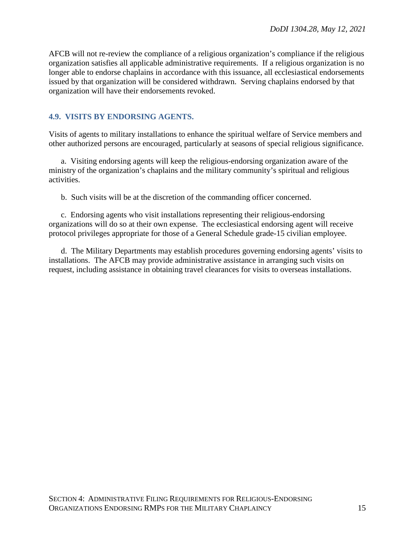AFCB will not re-review the compliance of a religious organization's compliance if the religious organization satisfies all applicable administrative requirements. If a religious organization is no longer able to endorse chaplains in accordance with this issuance, all ecclesiastical endorsements issued by that organization will be considered withdrawn. Serving chaplains endorsed by that organization will have their endorsements revoked.

### <span id="page-14-0"></span>**4.9. VISITS BY ENDORSING AGENTS.**

Visits of agents to military installations to enhance the spiritual welfare of Service members and other authorized persons are encouraged, particularly at seasons of special religious significance.

a. Visiting endorsing agents will keep the religious-endorsing organization aware of the ministry of the organization's chaplains and the military community's spiritual and religious activities.

b. Such visits will be at the discretion of the commanding officer concerned.

c. Endorsing agents who visit installations representing their religious-endorsing organizations will do so at their own expense. The ecclesiastical endorsing agent will receive protocol privileges appropriate for those of a General Schedule grade-15 civilian employee.

d. The Military Departments may establish procedures governing endorsing agents' visits to installations. The AFCB may provide administrative assistance in arranging such visits on request, including assistance in obtaining travel clearances for visits to overseas installations.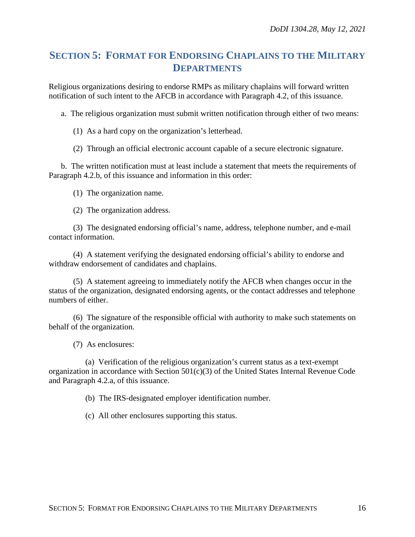### <span id="page-15-0"></span>**SECTION 5: FORMAT FOR ENDORSING CHAPLAINS TO THE MILITARY DEPARTMENTS**

Religious organizations desiring to endorse RMPs as military chaplains will forward written notification of such intent to the AFCB in accordance with Paragraph 4.2, of this issuance.

a. The religious organization must submit written notification through either of two means:

(1) As a hard copy on the organization's letterhead.

(2) Through an official electronic account capable of a secure electronic signature.

b. The written notification must at least include a statement that meets the requirements of Paragraph 4.2.b, of this issuance and information in this order:

(1) The organization name.

(2) The organization address.

(3) The designated endorsing official's name, address, telephone number, and e-mail contact information.

(4) A statement verifying the designated endorsing official's ability to endorse and withdraw endorsement of candidates and chaplains.

(5) A statement agreeing to immediately notify the AFCB when changes occur in the status of the organization, designated endorsing agents, or the contact addresses and telephone numbers of either.

(6) The signature of the responsible official with authority to make such statements on behalf of the organization.

(7) As enclosures:

(a) Verification of the religious organization's current status as a text-exempt organization in accordance with Section  $501(c)(3)$  of the United States Internal Revenue Code and Paragraph 4.2.a, of this issuance.

(b) The IRS-designated employer identification number.

(c) All other enclosures supporting this status.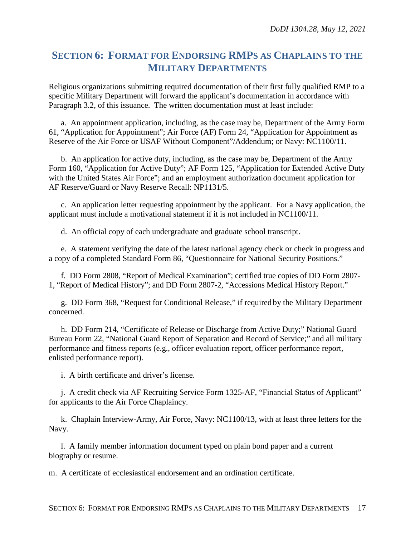## <span id="page-16-0"></span>**SECTION 6: FORMAT FOR ENDORSING RMPS AS CHAPLAINS TO THE MILITARY DEPARTMENTS**

Religious organizations submitting required documentation of their first fully qualified RMP to a specific Military Department will forward the applicant's documentation in accordance with Paragraph 3.2, of this issuance. The written documentation must at least include:

a. An appointment application, including, as the case may be, Department of the Army Form 61, "Application for Appointment"; Air Force (AF) Form 24, "Application for Appointment as Reserve of the Air Force or USAF Without Component"/Addendum; or Navy: NC1100/11.

b. An application for active duty, including, as the case may be, Department of the Army Form 160, "Application for Active Duty"; AF Form 125, "Application for Extended Active Duty with the United States Air Force"; and an employment authorization document application for AF Reserve/Guard or Navy Reserve Recall: NP1131/5.

c. An application letter requesting appointment by the applicant. For a Navy application, the applicant must include a motivational statement if it is not included in NC1100/11.

d. An official copy of each undergraduate and graduate school transcript.

e. A statement verifying the date of the latest national agency check or check in progress and a copy of a completed Standard Form 86, "Questionnaire for National Security Positions."

f. DD Form 2808, "Report of Medical Examination"; certified true copies of DD Form 2807- 1, "Report of Medical History"; and DD Form 2807-2, "Accessions Medical History Report."

g. DD Form 368, "Request for Conditional Release," if required by the Military Department concerned.

h. DD Form 214, "Certificate of Release or Discharge from Active Duty;" National Guard Bureau Form 22, "National Guard Report of Separation and Record of Service;" and all military performance and fitness reports (e.g., officer evaluation report, officer performance report, enlisted performance report).

i. A birth certificate and driver's license.

j. A credit check via AF Recruiting Service Form 1325-AF, "Financial Status of Applicant" for applicants to the Air Force Chaplaincy.

k. Chaplain Interview-Army, Air Force, Navy: NC1100/13, with at least three letters for the Navy.

l. A family member information document typed on plain bond paper and a current biography or resume.

m. A certificate of ecclesiastical endorsement and an ordination certificate.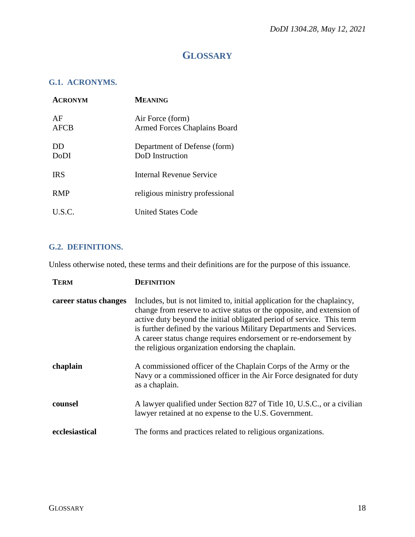# **GLOSSARY**

### <span id="page-17-1"></span><span id="page-17-0"></span>**G.1. ACRONYMS.**

| <b>ACRONYM</b>    | <b>MEANING</b>                                          |
|-------------------|---------------------------------------------------------|
| AF<br>AFCB        | Air Force (form)<br><b>Armed Forces Chaplains Board</b> |
| DD<br><b>DoDI</b> | Department of Defense (form)<br>DoD Instruction         |
| <b>IRS</b>        | Internal Revenue Service                                |
| <b>RMP</b>        | religious ministry professional                         |
| U.S.C.            | <b>United States Code</b>                               |

### <span id="page-17-2"></span>**G.2. DEFINITIONS.**

Unless otherwise noted, these terms and their definitions are for the purpose of this issuance.

| <b>TERM</b>           | DEFINITION                                                                                                                                                                                                                                                                                                                                                                                                                    |
|-----------------------|-------------------------------------------------------------------------------------------------------------------------------------------------------------------------------------------------------------------------------------------------------------------------------------------------------------------------------------------------------------------------------------------------------------------------------|
| career status changes | Includes, but is not limited to, initial application for the chaplaincy,<br>change from reserve to active status or the opposite, and extension of<br>active duty beyond the initial obligated period of service. This term<br>is further defined by the various Military Departments and Services.<br>A career status change requires endorsement or re-endorsement by<br>the religious organization endorsing the chaplain. |
| chaplain              | A commissioned officer of the Chaplain Corps of the Army or the<br>Navy or a commissioned officer in the Air Force designated for duty<br>as a chaplain.                                                                                                                                                                                                                                                                      |
| counsel               | A lawyer qualified under Section 827 of Title 10, U.S.C., or a civilian<br>lawyer retained at no expense to the U.S. Government.                                                                                                                                                                                                                                                                                              |
| ecclesiastical        | The forms and practices related to religious organizations.                                                                                                                                                                                                                                                                                                                                                                   |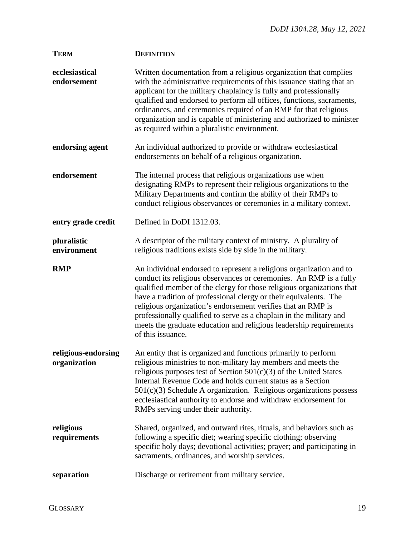| <b>TERM</b>                   | <b>DEFINITION</b>                                                                                                                                                                                                                                                                                                                                                                                                                                                                                                         |
|-------------------------------|---------------------------------------------------------------------------------------------------------------------------------------------------------------------------------------------------------------------------------------------------------------------------------------------------------------------------------------------------------------------------------------------------------------------------------------------------------------------------------------------------------------------------|
| ecclesiastical<br>endorsement | Written documentation from a religious organization that complies<br>with the administrative requirements of this issuance stating that an<br>applicant for the military chaplaincy is fully and professionally<br>qualified and endorsed to perform all offices, functions, sacraments,<br>ordinances, and ceremonies required of an RMP for that religious<br>organization and is capable of ministering and authorized to minister<br>as required within a pluralistic environment.                                    |
| endorsing agent               | An individual authorized to provide or withdraw ecclesiastical<br>endorsements on behalf of a religious organization.                                                                                                                                                                                                                                                                                                                                                                                                     |
| endorsement                   | The internal process that religious organizations use when<br>designating RMPs to represent their religious organizations to the<br>Military Departments and confirm the ability of their RMPs to<br>conduct religious observances or ceremonies in a military context.                                                                                                                                                                                                                                                   |
| entry grade credit            | Defined in DoDI 1312.03.                                                                                                                                                                                                                                                                                                                                                                                                                                                                                                  |
| pluralistic<br>environment    | A descriptor of the military context of ministry. A plurality of<br>religious traditions exists side by side in the military.                                                                                                                                                                                                                                                                                                                                                                                             |
| <b>RMP</b>                    | An individual endorsed to represent a religious organization and to<br>conduct its religious observances or ceremonies. An RMP is a fully<br>qualified member of the clergy for those religious organizations that<br>have a tradition of professional clergy or their equivalents. The<br>religious organization's endorsement verifies that an RMP is<br>professionally qualified to serve as a chaplain in the military and<br>meets the graduate education and religious leadership requirements<br>of this issuance. |
| organization                  | religious-endorsing An entity that is organized and functions primarily to perform<br>religious ministries to non-military lay members and meets the<br>religious purposes test of Section $501(c)(3)$ of the United States<br>Internal Revenue Code and holds current status as a Section<br>$501(c)(3)$ Schedule A organization. Religious organizations possess<br>ecclesiastical authority to endorse and withdraw endorsement for<br>RMPs serving under their authority.                                             |
| religious<br>requirements     | Shared, organized, and outward rites, rituals, and behaviors such as<br>following a specific diet; wearing specific clothing; observing<br>specific holy days; devotional activities; prayer; and participating in<br>sacraments, ordinances, and worship services.                                                                                                                                                                                                                                                       |
| separation                    | Discharge or retirement from military service.                                                                                                                                                                                                                                                                                                                                                                                                                                                                            |